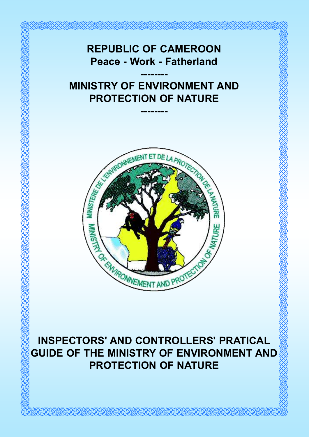

INSPECTORS' AND CONTROLLERS' PRATICAL GUIDE OF THE MINISTRY OF ENVIRONMENT AND PROTECTION OF NATURE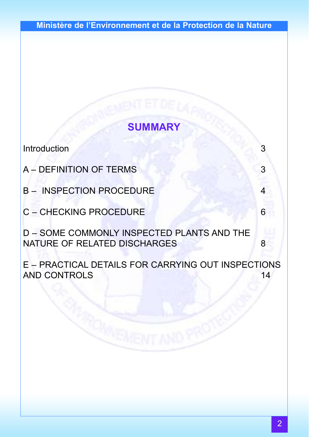# SUMMARY

Introduction 3

A – DEFINITION OF TERMS 3

B – INSPECTION PROCEDURE

C – CHECKING PROCEDURE 6

D – SOME COMMONLY INSPECTED PLANTS AND THE NATURE OF RELATED DISCHARGES 8

E – PRACTICAL DETAILS FOR CARRYING OUT INSPECTIONS AND CONTROLS 14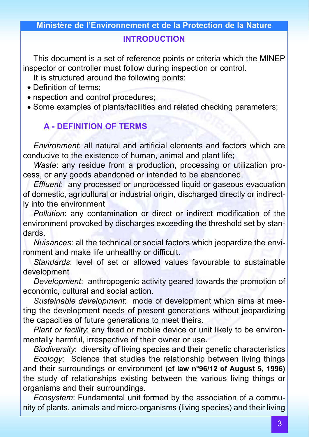#### INTRODUCTION

This document is a set of reference points or criteria which the MINEP inspector or controller must follow during inspection or control.

It is structured around the following points:

- Definition of terms;
- nspection and control procedures:
- Some examples of plants/facilities and related checking parameters;

# A - DEFINITION OF TERMS

Environment: all natural and artificial elements and factors which are conducive to the existence of human, animal and plant life;

Waste: any residue from a production, processing or utilization process, or any goods abandoned or intended to be abandoned.

Effluent: any processed or unprocessed liquid or gaseous evacuation of domestic, agricultural or industrial origin, discharged directly or indirectly into the environment

Pollution: any contamination or direct or indirect modification of the environment provoked by discharges exceeding the threshold set by standards.

Nuisances: all the technical or social factors which jeopardize the environment and make life unhealthy or difficult.

Standards: level of set or allowed values favourable to sustainable development

Development: anthropogenic activity geared towards the promotion of economic, cultural and social action.

Sustainable development: mode of development which aims at meeting the development needs of present generations without jeopardizing the capacities of future generations to meet theirs.

Plant or facility: any fixed or mobile device or unit likely to be environmentally harmful, irrespective of their owner or use.

Biodiversity: diversity of living species and their genetic characteristics Ecology: Science that studies the relationship between living things and their surroundings or environment (cf law n°96/12 of August 5, 1996) the study of relationships existing between the various living things or organisms and their surroundings.

Ecosystem: Fundamental unit formed by the association of a community of plants, animals and micro-organisms (living species) and their living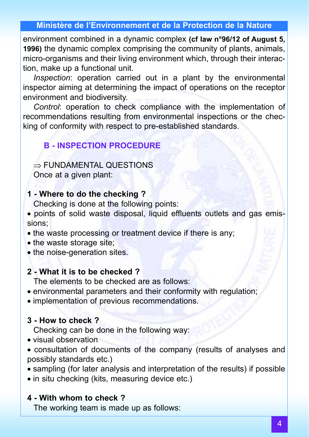environment combined in a dynamic complex (cf law n°96/12 of August 5, 1996) the dynamic complex comprising the community of plants, animals, micro-organisms and their living environment which, through their interaction, make up a functional unit.

Inspection: operation carried out in a plant by the environmental inspector aiming at determining the impact of operations on the receptor environment and biodiversity.

Control: operation to check compliance with the implementation of recommendations resulting from environmental inspections or the checking of conformity with respect to pre-established standards.

#### B - INSPECTION PROCEDURE

⇒ FUNDAMENTAL QUESTIONS

Once at a given plant:

#### 1 - Where to do the checking ?

Checking is done at the following points:

- points of solid waste disposal, liquid effluents outlets and gas emissions;
- the waste processing or treatment device if there is any;
- the waste storage site;
- the noise-generation sites.

#### 2 - What it is to be checked ?

The elements to be checked are as follows:

- environmental parameters and their conformity with regulation;
- implementation of previous recommendations.

#### 3 - How to check ?

Checking can be done in the following way:

- visual observation
- consultation of documents of the company (results of analyses and possibly standards etc.)
- sampling (for later analysis and interpretation of the results) if possible
- in situ checking (kits, measuring device etc.)

#### 4 - With whom to check ?

The working team is made up as follows: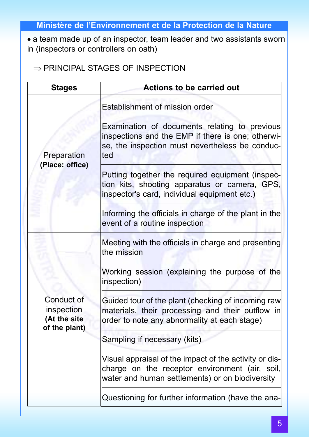• a team made up of an inspector, team leader and two assistants sworn in (inspectors or controllers on oath)

⇒ PRINCIPAL STAGES OF INSPECTION

| <b>Stages</b>                                             | <b>Actions to be carried out</b>                                                                                                                             |
|-----------------------------------------------------------|--------------------------------------------------------------------------------------------------------------------------------------------------------------|
|                                                           | Establishment of mission order                                                                                                                               |
| Preparation                                               | Examination of documents relating to previous<br>inspections and the EMP if there is one; otherwi-<br>se, the inspection must nevertheless be conduc-<br>ted |
| (Place: office)                                           | Putting together the required equipment (inspec-<br>tion kits, shooting apparatus or camera, GPS,<br>inspector's card, individual equipment etc.)            |
|                                                           | Informing the officials in charge of the plant in the<br>event of a routine inspection                                                                       |
|                                                           | Meeting with the officials in charge and presenting<br>the mission                                                                                           |
|                                                           | Working session (explaining the purpose of the<br>inspection)                                                                                                |
| Conduct of<br>inspection<br>(At the site<br>of the plant) | Guided tour of the plant (checking of incoming raw<br>materials, their processing and their outflow in<br>order to note any abnormality at each stage)       |
|                                                           | Sampling if necessary (kits)                                                                                                                                 |
|                                                           | Visual appraisal of the impact of the activity or dis-<br>charge on the receptor environment (air, soil,<br>water and human settlements) or on biodiversity  |
|                                                           | Questioning for further information (have the ana-                                                                                                           |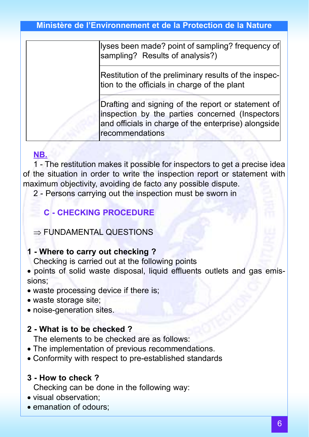lyses been made? point of sampling? frequency of sampling? Results of analysis?)

Restitution of the preliminary results of the inspection to the officials in charge of the plant

Drafting and signing of the report or statement of inspection by the parties concerned (Inspectors and officials in charge of the enterprise) alongside recommendations

#### NB.

1 - The restitution makes it possible for inspectors to get a precise idea of the situation in order to write the inspection report or statement with maximum objectivity, avoiding de facto any possible dispute.

2 - Persons carrying out the inspection must be sworn in

#### C - CHECKING PROCEDURE

#### ⇒ FUNDAMENTAL QUESTIONS

#### 1 - Where to carry out checking ?

Checking is carried out at the following points

- points of solid waste disposal, liquid effluents outlets and gas emissions;
- waste processing device if there is;
- waste storage site;
- noise-generation sites.

#### 2 - What is to be checked ?

The elements to be checked are as follows:

- The implementation of previous recommendations.
- Conformity with respect to pre-established standards

#### 3 - How to check ?

Checking can be done in the following way:

- visual observation;
- emanation of odours: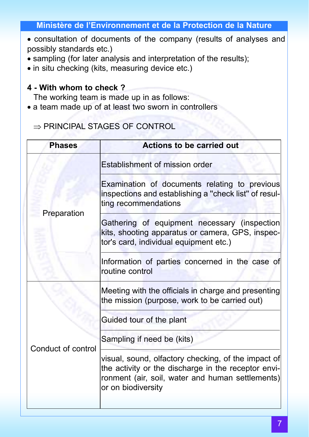- consultation of documents of the company (results of analyses and possibly standards etc.)
- sampling (for later analysis and interpretation of the results);
- in situ checking (kits, measuring device etc.)

#### 4 - With whom to check ?

The working team is made up in as follows:

• a team made up of at least two sworn in controllers

### ⇒ PRINCIPAL STAGES OF CONTROL

| <b>Phases</b>      | <b>Actions to be carried out</b>                                                                                                                                                     |
|--------------------|--------------------------------------------------------------------------------------------------------------------------------------------------------------------------------------|
|                    | Establishment of mission order                                                                                                                                                       |
|                    | Examination of documents relating to previous<br>inspections and establishing a "check list" of resul-<br>ting recommendations                                                       |
| Preparation        | Gathering of equipment necessary (inspection<br>kits, shooting apparatus or camera, GPS, inspec-<br>tor's card, individual equipment etc.)                                           |
|                    | Information of parties concerned in the case of<br>routine control                                                                                                                   |
|                    | Meeting with the officials in charge and presenting<br>the mission (purpose, work to be carried out)                                                                                 |
|                    | Guided tour of the plant                                                                                                                                                             |
|                    | Sampling if need be (kits)                                                                                                                                                           |
| Conduct of control | visual, sound, olfactory checking, of the impact of<br>the activity or the discharge in the receptor envi-<br>ronment (air, soil, water and human settlements)<br>or on biodiversity |
|                    |                                                                                                                                                                                      |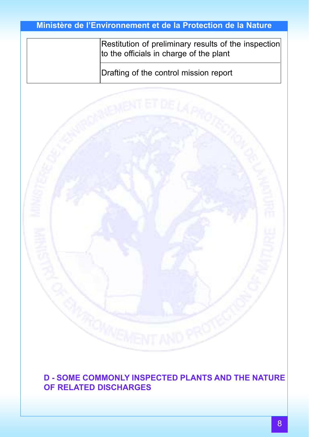Restitution of preliminary results of the inspection to the officials in charge of the plant

Drafting of the control mission report



D - SOME COMMONLY INSPECTED PLANTS AND THE NATURE OF RELATED DISCHARGES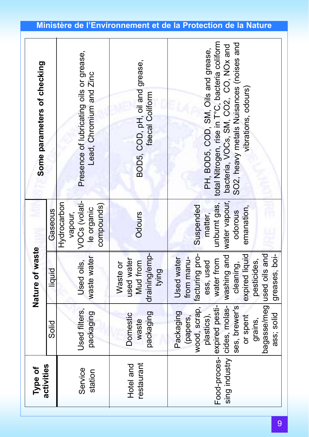| Some parameters of checking |                | Presence of lubricating oils or grease,<br>Lead, Chromium and Zinc  | BOD5, COD, pH, oil and grease,<br>faecal Coliform            | unburnt gas,   total Nitrogen, rise in T°C, bacteria coliform<br>SO2, heavy metals Nuisances (noises and<br>bacteria, VOCs, SM, CO2, CO, NOx and<br>PH, BOD5, COD, SM, Oils and grease,<br>vibrations, odours)                    |
|-----------------------------|----------------|---------------------------------------------------------------------|--------------------------------------------------------------|-----------------------------------------------------------------------------------------------------------------------------------------------------------------------------------------------------------------------------------|
|                             | Gaseous        | VOCs (volati-<br>Hydrocarbon<br>compounds)<br>le organic<br>vapour, | Odours                                                       | water vapour,<br>Suspended<br>emanation,<br>odorous<br>matter,                                                                                                                                                                    |
| Nature of waste             | liquid         | waste water<br>Used oils,                                           | draining/emp-<br>used water<br>Mud from<br>Waste or<br>tying | expired liquid<br>greases, boi-<br><b>Used water</b><br>from manu-<br>water from<br>pesticides,<br>ess, used<br>cleaning,                                                                                                         |
|                             | $\frac{1}{20}$ | Used filters,<br>packaging                                          | packaging<br>Domestic<br>waste                               | wood, scrap,   facturing pro-<br>sing industry cides, molas- washing and<br>bagasse/meg used oils and<br>Food-proces-lexpired pesti-<br>ses, brewer's<br>Packaging<br>ass; solid<br>plastics),<br>or spent<br>(papers,<br>grains, |
| Type of                     | activities     | Service<br>station                                                  | restaurant<br>Hotel and                                      |                                                                                                                                                                                                                                   |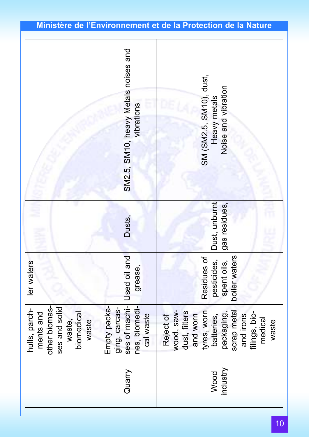|                                                                                               | SM2.5, SM10, heavy Metals noises and<br>vibrations          | SM (SM2.5, SM10), dust,<br>Noise and vibration<br>Heavy metals                                                                                                   |
|-----------------------------------------------------------------------------------------------|-------------------------------------------------------------|------------------------------------------------------------------------------------------------------------------------------------------------------------------|
|                                                                                               | Dusts,                                                      | Dust, unburnt<br>gas residues,                                                                                                                                   |
| ler waters                                                                                    | ses of machi- Used oil and<br>grease,                       | boiler waters<br>Residues of<br>pesticides,<br>spent oils,                                                                                                       |
| other biomas-<br>ses and solid<br>hulls, parch-<br>ments and<br>biomedical<br>waste<br>waste, | Empty packa-<br>nes, biomedi-<br>ging, carcas-<br>cal waste | wood, saw-<br>tyres, worn<br>dust, filters<br>scrap metal<br>packaging,<br>filings, bio-<br>Reject of<br>and worn<br>and irons<br>batteries,<br>medical<br>waste |
|                                                                                               | Quarry                                                      | industry<br>Wood                                                                                                                                                 |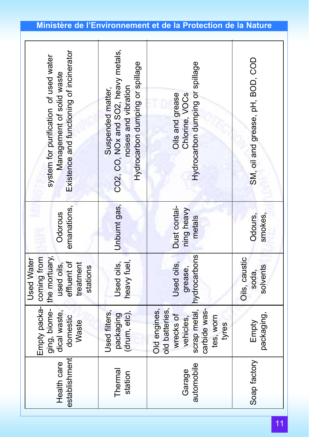| Existence and functioning of incinerator<br>system for purification of used water<br>Management of solid waste | CO2, CO, NOx and SO2, heavy metals,<br>Hydrocarbon dumping or spillage<br>noises and vibration<br>Suspended matter, | Hydrocarbon dumping or spillage<br>Oils and grease<br>Chlorine, VOCs                                           | SM, oil and grease, pH, BOD, COD   |
|----------------------------------------------------------------------------------------------------------------|---------------------------------------------------------------------------------------------------------------------|----------------------------------------------------------------------------------------------------------------|------------------------------------|
| emanations,<br>Odorous                                                                                         | Unburnt gas,                                                                                                        | Dust contai-<br>ning heavy<br>metals                                                                           | smokes,<br>Odours,                 |
| the mortuary,<br><b>Used Water</b><br>effluent of<br>treatment<br>used oils,<br>stations                       | heavy fuel<br>Jsed oils,                                                                                            | hydrocarbons<br>Used oils,<br>grease,                                                                          | Oils, caustic<br>solvents<br>soda, |
| Empty packa-  coming from<br>ging, biome-<br>dical waste,<br>domestic<br>Waste                                 | (drum, etc),<br>Jsed filters,<br>packaging                                                                          | scrap metal,<br>old batteries,<br>Old engines,<br>carbide was-<br>wrecks of<br>tes, worn<br>vehicles,<br>tyres | packaging,<br>Empty                |
| establishment<br>Health care                                                                                   | Thermal<br>station                                                                                                  | automobile<br>Garage                                                                                           | Soap factory                       |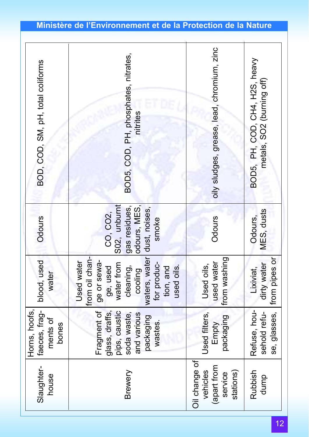| BOD, COD, SM, pH, total coliforms                   | BOD5, COD, PH, phosphates, nitrates,<br>nitrites                                                                                                         | oily sludges, grease, lead, chromium, zinc                       | BOD5, PH, COD, CH4, H2S, heavy<br>metals, SO2 (burning off) |
|-----------------------------------------------------|----------------------------------------------------------------------------------------------------------------------------------------------------------|------------------------------------------------------------------|-------------------------------------------------------------|
| Odours                                              | S02, unburnt<br>gas residues,<br>odours, MES,<br>dust, noises,<br>CO, CO2,<br>smoke                                                                      | Odours                                                           | MES, dusts<br>Odours,                                       |
| blood, used<br>water                                | from oil chan-<br>waters, water<br>Used water<br>ge or sewa-<br>for produc-<br>water from<br>ge, used<br>cleaning,<br>used oils.<br>tion, and<br>cooling | from washing<br>used water<br>Used oils,                         | se, glasses, Ifrom pipes or<br>dirty water<br>Lixiviat,     |
| Horns, hoofs,<br>faeces, frag-<br>ments of<br>bones | Fragment of<br>pips, caustic<br>glass, draffs,<br>and various<br>soda waste,<br>packaging<br>wastes.                                                     | Used filters,<br>packaging<br>Empty                              | Refuse, hou-<br>sehold refu-                                |
| Slaughter-<br>house                                 | Brewery                                                                                                                                                  | Oil change of<br>(apart from<br>vehicles<br>stations)<br>service | Rubbish<br>dump                                             |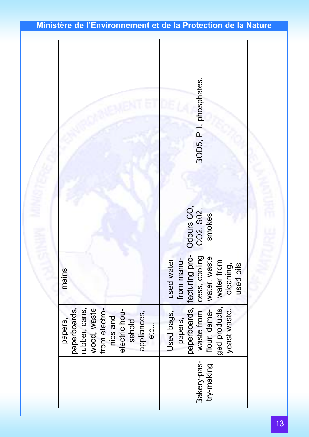|                                                                                                                                       | BOD5, PH, phosphates.                                                                                               |
|---------------------------------------------------------------------------------------------------------------------------------------|---------------------------------------------------------------------------------------------------------------------|
|                                                                                                                                       | Odours CO,<br>CO2, S02,<br>smokes                                                                                   |
| mains                                                                                                                                 | cess, cooling<br>water, waste<br>from manu-<br>used water<br>water from<br>used oils<br>cleaning,                   |
| paperboards,<br>rubber, cans,<br>wood, waste<br>from electro-<br>electric hou-<br>sehold<br>appliances,<br>nics and<br>papers,<br>etc | paperboards, facturing pro-<br>ged products,<br>flour, dama-<br>waste from<br>yeast waste.<br>Used bags,<br>papers, |
|                                                                                                                                       | Bakery-pas-<br>try-making                                                                                           |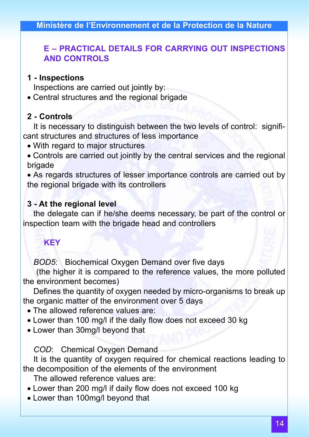### E – PRACTICAL DETAILS FOR CARRYING OUT INSPECTIONS AND CONTROLS

#### 1 - Inspections

Inspections are carried out jointly by:

• Central structures and the regional brigade

# 2 - Controls

It is necessary to distinguish between the two levels of control: significant structures and structures of less importance

- With regard to major structures
- Controls are carried out jointly by the central services and the regional brigade

• As regards structures of lesser importance controls are carried out by the regional brigade with its controllers

# 3 - At the regional level

the delegate can if he/she deems necessary, be part of the control or inspection team with the brigade head and controllers

# **KEY**

BOD5: Biochemical Oxygen Demand over five days

(the higher it is compared to the reference values, the more polluted the environment becomes)

Defines the quantity of oxygen needed by micro-organisms to break up the organic matter of the environment over 5 days

- The allowed reference values are:
- Lower than 100 mg/l if the daily flow does not exceed 30 kg
- Lower than 30mg/l beyond that

COD: Chemical Oxygen Demand

It is the quantity of oxygen required for chemical reactions leading to the decomposition of the elements of the environment

The allowed reference values are:

- Lower than 200 mg/l if daily flow does not exceed 100 kg
- Lower than 100mg/l beyond that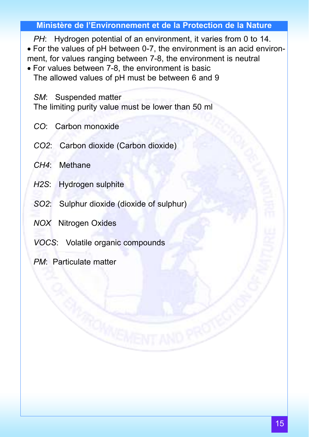PH: Hydrogen potential of an environment, it varies from 0 to 14. • For the values of pH between 0-7, the environment is an acid environment, for values ranging between 7-8, the environment is neutral

• For values between 7-8, the environment is basic The allowed values of pH must be between 6 and 9

SM: Suspended matter

The limiting purity value must be lower than 50 ml

- CO: Carbon monoxide
- CO2: Carbon dioxide (Carbon dioxide)
- CH4: Methane
- H2S: Hydrogen sulphite
- SO2: Sulphur dioxide (dioxide of sulphur)
- NOX Nitrogen Oxides
- VOCS: Volatile organic compounds
- PM: Particulate matter